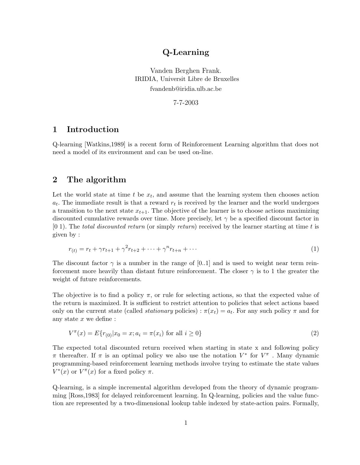# Q-Learning

Vanden Berghen Frank. IRIDIA, Universit Libre de Bruxelles fvandenb@iridia.ulb.ac.be

7-7-2003

## 1 Introduction

Q-learning [Watkins,1989] is a recent form of Reinforcement Learning algorithm that does not need a model of its environment and can be used on-line.

### 2 The algorithm

Let the world state at time  $t$  be  $x_t$ , and assume that the learning system then chooses action  $a_t$ . The immediate result is that a reward  $r_t$  is received by the learner and the world undergoes a transition to the next state  $x_{t+1}$ . The objective of the learner is to choose actions maximizing discounted cumulative rewards over time. More precisely, let  $\gamma$  be a specified discount factor in  $[0 1]$ . The total discounted return (or simply return) received by the learner starting at time t is given by :

$$
r_{(t)} = r_t + \gamma r_{t+1} + \gamma^2 r_{t+2} + \dots + \gamma^n r_{t+n} + \dots \tag{1}
$$

The discount factor  $\gamma$  is a number in the range of [0..1] and is used to weight near term reinforcement more heavily than distant future reinforcement. The closer  $\gamma$  is to 1 the greater the weight of future reinforcements.

The objective is to find a policy  $\pi$ , or rule for selecting actions, so that the expected value of the return is maximized. It is sufficient to restrict attention to policies that select actions based only on the current state (called *stationary* policies) :  $\pi(x_t) = a_t$ . For any such policy  $\pi$  and for any state  $x$  we define :

$$
V^{\pi}(x) = E\{r_{(0)}|x_0 = x; a_i = \pi(x_i) \text{ for all } i \ge 0\}
$$
\n(2)

The expected total discounted return received when starting in state x and following policy  $\pi$  thereafter. If  $\pi$  is an optimal policy we also use the notation  $V^*$  for  $V^*$ . Many dynamic programming-based reinforcement learning methods involve trying to estimate the state values  $V^*(x)$  or  $V^{\pi}(x)$  for a fixed policy  $\pi$ .

Q-learning, is a simple incremental algorithm developed from the theory of dynamic programming [Ross,1983] for delayed reinforcement learning. In Q-learning, policies and the value function are represented by a two-dimensional lookup table indexed by state-action pairs. Formally,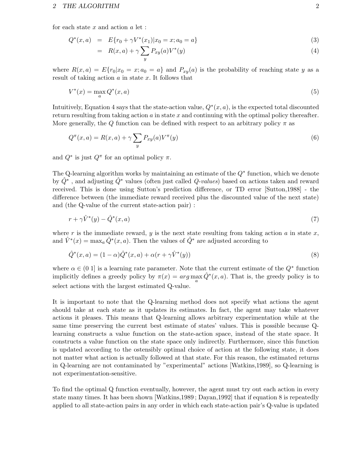#### 2 THE ALGORITHM 2

for each state  $x$  and action  $a$  let :

$$
Q^*(x, a) = E\{r_0 + \gamma V^*(x_1)|x_0 = x; a_0 = a\}
$$
\n(3)

$$
= R(x,a) + \gamma \sum_{y} P_{xy}(a)V^*(y) \tag{4}
$$

where  $R(x, a) = E\{r_0|x_0 = x; a_0 = a\}$  and  $P_{xy}(a)$  is the probability of reaching state y as a result of taking action  $a$  in state  $x$ . It follows that

$$
V^*(x) = \max_a Q^*(x, a) \tag{5}
$$

Intuitively, Equation 4 says that the state-action value,  $Q^*(x, a)$ , is the expected total discounted return resulting from taking action  $a$  in state  $x$  and continuing with the optimal policy thereafter. More generally, the Q function can be defined with respect to an arbitrary policy  $\pi$  as

$$
Q^{\pi}(x,a) = R(x,a) + \gamma \sum_{y} P_{xy}(a) V^{\pi}(y)
$$
\n
$$
(6)
$$

and  $Q^*$  is just  $Q^{\pi}$  for an optimal policy  $\pi$ .

The Q-learning algorithm works by maintaining an estimate of the  $Q^*$  function, which we denote by  $\hat{Q}^*$ , and adjusting  $\hat{Q}^*$  values (often just called  $Q$ -values) based on actions taken and reward received. This is done using Sutton's prediction difference, or TD error [Sutton,1988] - the difference between (the immediate reward received plus the discounted value of the next state) and (the Q-value of the current state-action pair) :

$$
r + \gamma \hat{V}^*(y) - \hat{Q}^*(x, a) \tag{7}
$$

where r is the immediate reward, y is the next state resulting from taking action a in state x, and  $\hat{V}^*(x) = \max_a \hat{Q}^*(x, a)$ . Then the values of  $\hat{Q}^*$  are adjusted according to

$$
\hat{Q}^*(x, a) = (1 - \alpha)\hat{Q}^*(x, a) + \alpha(r + \gamma \hat{V}^*(y))
$$
\n(8)

where  $\alpha \in (0, 1]$  is a learning rate parameter. Note that the current estimate of the  $Q^*$  function implicitly defines a greedy policy by  $\pi(x) = arg \max_{a} \hat{Q}^{*}(x, a)$ . That is, the greedy policy is to select actions with the largest estimated Q-value.

It is important to note that the Q-learning method does not specify what actions the agent should take at each state as it updates its estimates. In fact, the agent may take whatever actions it pleases. This means that Q-learning allows arbitrary experimentation while at the same time preserving the current best estimate of states' values. This is possible because Qlearning constructs a value function on the state-action space, instead of the state space. It constructs a value function on the state space only indirectly. Furthermore, since this function is updated according to the ostensibly optimal choice of action at the following state, it does not matter what action is actually followed at that state. For this reason, the estimated returns in Q-learning are not contaminated by "experimental" actions [Watkins,1989], so Q-learning is not experimentation-sensitive.

To find the optimal Q function eventually, however, the agent must try out each action in every state many times. It has been shown [Watkins,1989 ; Dayan,1992] that if equation 8 is repeatedly applied to all state-action pairs in any order in which each state-action pair's Q-value is updated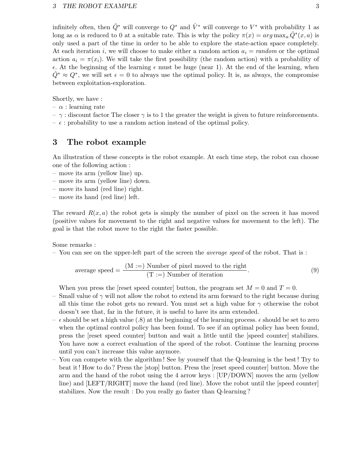infinitely often, then  $\hat{Q}^*$  will converge to  $Q^*$  and  $\hat{V}^*$  will converge to  $V^*$  with probability 1 as long as  $\alpha$  is reduced to 0 at a suitable rate. This is why the policy  $\pi(x) = arg \max_a \hat{Q}^*(x, a)$  is only used a part of the time in order to be able to explore the state-action space completely. At each iteration i, we will choose to make either a random action  $a_i = \text{random}$  or the optimal action  $a_i = \pi(x_i)$ . We will take the first possibility (the random action) with a probability of  $\epsilon$ . At the beginning of the learning  $\epsilon$  must be huge (near 1). At the end of the learning, when  $\hat{Q}^* \approx Q^*$ , we will set  $\epsilon = 0$  to always use the optimal policy. It is, as always, the compromise between exploitation-exploration.

Shortly, we have :

- $\alpha$  : learning rate
- $-\gamma$ : discount factor The closer  $\gamma$  is to 1 the greater the weight is given to future reinforcements.
- $\epsilon$ : probability to use a random action instead of the optimal policy.

### 3 The robot example

An illustration of these concepts is the robot example. At each time step, the robot can choose one of the following action :

- move its arm (yellow line) up.
- move its arm (yellow line) down.
- move its hand (red line) right.
- move its hand (red line) left.

The reward  $R(x, a)$  the robot gets is simply the number of pixel on the screen it has moved (positive values for movement to the right and negative values for movement to the left). The goal is that the robot move to the right the faster possible.

Some remarks :

– You can see on the upper-left part of the screen the *average speed* of the robot. That is :

average speed = 
$$
\frac{(M :=) \text{ Number of pixel moved to the right}}{(T :=) \text{ Number of iteration}}.
$$
 (9)

When you press the [reset speed counter] button, the program set  $M = 0$  and  $T = 0$ .

- Small value of  $\gamma$  will not allow the robot to extend its arm forward to the right because during all this time the robot gets no reward. You must set a high value for  $\gamma$  otherwise the robot doesn't see that, far in the future, it is useful to have its arm extended.
- $\epsilon$  should be set a high value (.8) at the beginning of the learning process.  $\epsilon$  should be set to zero when the optimal control policy has been found. To see if an optimal policy has been found, press the [reset speed counter] button and wait a little until the [speed counter] stabilizes. You have now a correct evaluation of the speed of the robot. Continue the learning process until you can't increase this value anymore.
- You can compete with the algorithm ! See by yourself that the Q-learning is the best! Try to beat it! How to do ? Press the [stop] button. Press the [reset speed counter] button. Move the arm and the hand of the robot using the 4 arrow keys : [UP/DOWN] moves the arm (yellow line) and [LEFT/RIGHT] move the hand (red line). Move the robot until the [speed counter] stabilizes. Now the result : Do you really go faster than Q-learning ?